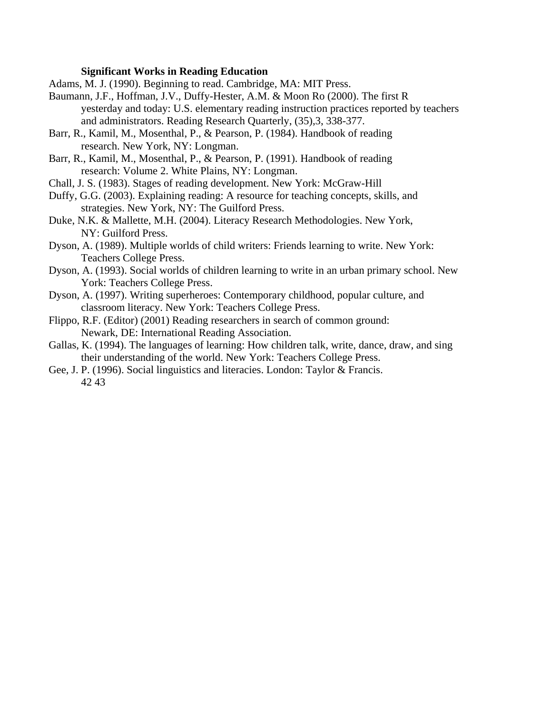## **Significant Works in Reading Education**

- Adams, M. J. (1990). Beginning to read. Cambridge, MA: MIT Press.
- Baumann, J.F., Hoffman, J.V., Duffy-Hester, A.M. & Moon Ro (2000). The first R yesterday and today: U.S. elementary reading instruction practices reported by teachers and administrators. Reading Research Quarterly, (35),3, 338-377.
- Barr, R., Kamil, M., Mosenthal, P., & Pearson, P. (1984). Handbook of reading research. New York, NY: Longman.
- Barr, R., Kamil, M., Mosenthal, P., & Pearson, P. (1991). Handbook of reading research: Volume 2. White Plains, NY: Longman.
- Chall, J. S. (1983). Stages of reading development. New York: McGraw-Hill
- Duffy, G.G. (2003). Explaining reading: A resource for teaching concepts, skills, and strategies. New York, NY: The Guilford Press.
- Duke, N.K. & Mallette, M.H. (2004). Literacy Research Methodologies. New York, NY: Guilford Press.
- Dyson, A. (1989). Multiple worlds of child writers: Friends learning to write. New York: Teachers College Press.
- Dyson, A. (1993). Social worlds of children learning to write in an urban primary school. New York: Teachers College Press.
- Dyson, A. (1997). Writing superheroes: Contemporary childhood, popular culture, and classroom literacy. New York: Teachers College Press.
- Flippo, R.F. (Editor) (2001) Reading researchers in search of common ground: Newark, DE: International Reading Association.
- Gallas, K. (1994). The languages of learning: How children talk, write, dance, draw, and sing their understanding of the world. New York: Teachers College Press.
- Gee, J. P. (1996). Social linguistics and literacies. London: Taylor & Francis. 42 43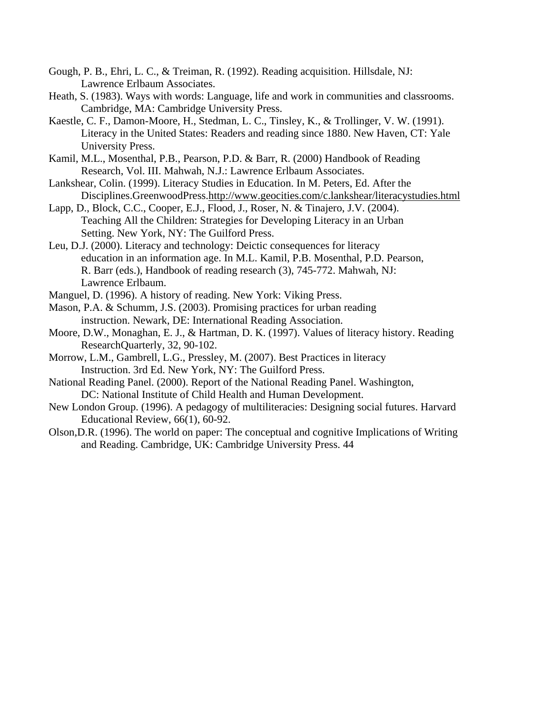- Gough, P. B., Ehri, L. C., & Treiman, R. (1992). Reading acquisition. Hillsdale, NJ: Lawrence Erlbaum Associates.
- Heath, S. (1983). Ways with words: Language, life and work in communities and classrooms. Cambridge, MA: Cambridge University Press.
- Kaestle, C. F., Damon-Moore, H., Stedman, L. C., Tinsley, K., & Trollinger, V. W. (1991). Literacy in the United States: Readers and reading since 1880. New Haven, CT: Yale University Press.
- Kamil, M.L., Mosenthal, P.B., Pearson, P.D. & Barr, R. (2000) Handbook of Reading Research, Vol. III. Mahwah, N.J.: Lawrence Erlbaum Associates.
- Lankshear, Colin. (1999). Literacy Studies in Education. In M. Peters, Ed. After the Disciplines.GreenwoodPress.http://www.geocities.com/c.lankshear/literacystudies.html
- Lapp, D., Block, C.C., Cooper, E.J., Flood, J., Roser, N. & Tinajero, J.V. (2004). Teaching All the Children: Strategies for Developing Literacy in an Urban Setting. New York, NY: The Guilford Press.
- Leu, D.J. (2000). Literacy and technology: Deictic consequences for literacy education in an information age. In M.L. Kamil, P.B. Mosenthal, P.D. Pearson, R. Barr (eds.), Handbook of reading research (3), 745-772. Mahwah, NJ: Lawrence Erlbaum.
- Manguel, D. (1996). A history of reading. New York: Viking Press.
- Mason, P.A. & Schumm, J.S. (2003). Promising practices for urban reading instruction. Newark, DE: International Reading Association.
- Moore, D.W., Monaghan, E. J., & Hartman, D. K. (1997). Values of literacy history. Reading ResearchQuarterly, 32, 90-102.
- Morrow, L.M., Gambrell, L.G., Pressley, M. (2007). Best Practices in literacy Instruction. 3rd Ed. New York, NY: The Guilford Press.
- National Reading Panel. (2000). Report of the National Reading Panel. Washington, DC: National Institute of Child Health and Human Development.
- New London Group. (1996). A pedagogy of multiliteracies: Designing social futures. Harvard Educational Review, 66(1), 60-92.
- Olson,D.R. (1996). The world on paper: The conceptual and cognitive Implications of Writing and Reading. Cambridge, UK: Cambridge University Press. 44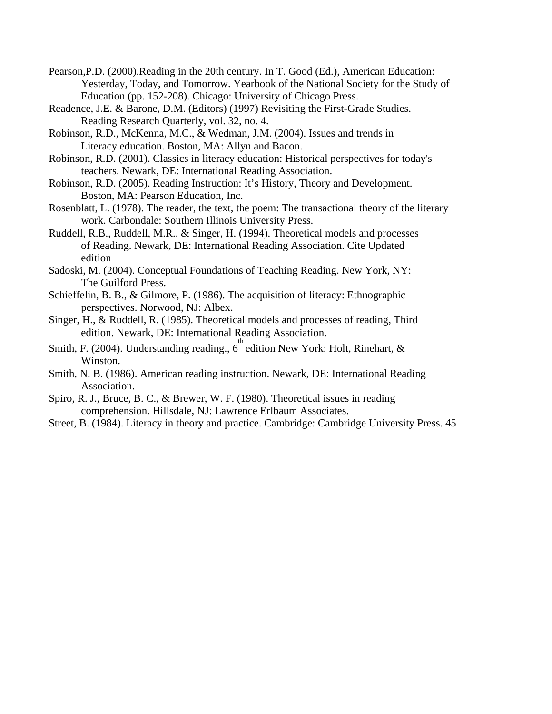- Pearson,P.D. (2000).Reading in the 20th century. In T. Good (Ed.), American Education: Yesterday, Today, and Tomorrow. Yearbook of the National Society for the Study of Education (pp. 152-208). Chicago: University of Chicago Press.
- Readence, J.E. & Barone, D.M. (Editors) (1997) Revisiting the First-Grade Studies. Reading Research Quarterly, vol. 32, no. 4.
- Robinson, R.D., McKenna, M.C., & Wedman, J.M. (2004). Issues and trends in Literacy education. Boston, MA: Allyn and Bacon.
- Robinson, R.D. (2001). Classics in literacy education: Historical perspectives for today's teachers. Newark, DE: International Reading Association.
- Robinson, R.D. (2005). Reading Instruction: It's History, Theory and Development. Boston, MA: Pearson Education, Inc.
- Rosenblatt, L. (1978). The reader, the text, the poem: The transactional theory of the literary work. Carbondale: Southern Illinois University Press.
- Ruddell, R.B., Ruddell, M.R., & Singer, H. (1994). Theoretical models and processes of Reading. Newark, DE: International Reading Association. Cite Updated edition
- Sadoski, M. (2004). Conceptual Foundations of Teaching Reading. New York, NY: The Guilford Press.
- Schieffelin, B. B., & Gilmore, P. (1986). The acquisition of literacy: Ethnographic perspectives. Norwood, NJ: Albex.
- Singer, H., & Ruddell, R. (1985). Theoretical models and processes of reading, Third edition. Newark, DE: International Reading Association.
- Smith, F. (2004). Understanding reading.,  $6^{th}$  edition New York: Holt, Rinehart, & Winston.
- Smith, N. B. (1986). American reading instruction. Newark, DE: International Reading Association.
- Spiro, R. J., Bruce, B. C., & Brewer, W. F. (1980). Theoretical issues in reading comprehension. Hillsdale, NJ: Lawrence Erlbaum Associates.
- Street, B. (1984). Literacy in theory and practice. Cambridge: Cambridge University Press. 45